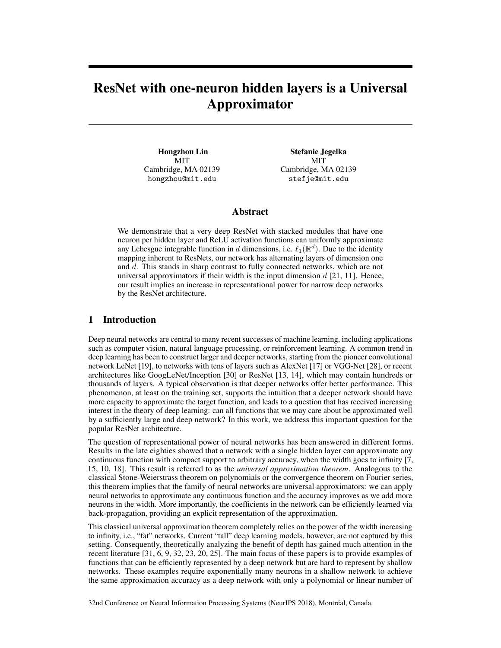# ResNet with one-neuron hidden layers is a Universal Approximator

Hongzhou Lin MIT Cambridge, MA 02139 hongzhou@mit.edu

Stefanie Jegelka MIT Cambridge, MA 02139 stefje@mit.edu

# Abstract

We demonstrate that a very deep ResNet with stacked modules that have one neuron per hidden layer and ReLU activation functions can uniformly approximate any Lebesgue integrable function in d dimensions, i.e.  $\ell_1(\mathbb{R}^d)$ . Due to the identity mapping inherent to ResNets, our network has alternating layers of dimension one and d. This stands in sharp contrast to fully connected networks, which are not universal approximators if their width is the input dimension  $d$  [21, 11]. Hence, our result implies an increase in representational power for narrow deep networks by the ResNet architecture.

# 1 Introduction

Deep neural networks are central to many recent successes of machine learning, including applications such as computer vision, natural language processing, or reinforcement learning. A common trend in deep learning has been to construct larger and deeper networks, starting from the pioneer convolutional network LeNet [19], to networks with tens of layers such as AlexNet [17] or VGG-Net [28], or recent architectures like GoogLeNet/Inception [30] or ResNet [13, 14], which may contain hundreds or thousands of layers. A typical observation is that deeper networks offer better performance. This phenomenon, at least on the training set, supports the intuition that a deeper network should have more capacity to approximate the target function, and leads to a question that has received increasing interest in the theory of deep learning: can all functions that we may care about be approximated well by a sufficiently large and deep network? In this work, we address this important question for the popular ResNet architecture.

The question of representational power of neural networks has been answered in different forms. Results in the late eighties showed that a network with a single hidden layer can approximate any continuous function with compact support to arbitrary accuracy, when the width goes to infinity [7, 15, 10, 18]. This result is referred to as the *universal approximation theorem*. Analogous to the classical Stone-Weierstrass theorem on polynomials or the convergence theorem on Fourier series, this theorem implies that the family of neural networks are universal approximators: we can apply neural networks to approximate any continuous function and the accuracy improves as we add more neurons in the width. More importantly, the coefficients in the network can be efficiently learned via back-propagation, providing an explicit representation of the approximation.

This classical universal approximation theorem completely relies on the power of the width increasing to infinity, i.e., "fat" networks. Current "tall" deep learning models, however, are not captured by this setting. Consequently, theoretically analyzing the benefit of depth has gained much attention in the recent literature [31, 6, 9, 32, 23, 20, 25]. The main focus of these papers is to provide examples of functions that can be efficiently represented by a deep network but are hard to represent by shallow networks. These examples require exponentially many neurons in a shallow network to achieve the same approximation accuracy as a deep network with only a polynomial or linear number of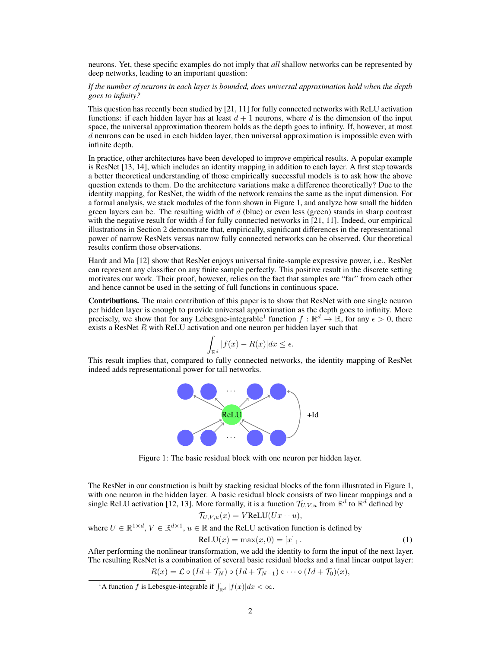neurons. Yet, these specific examples do not imply that *all* shallow networks can be represented by deep networks, leading to an important question:

#### *If the number of neurons in each layer is bounded, does universal approximation hold when the depth goes to infinity?*

This question has recently been studied by [21, 11] for fully connected networks with ReLU activation functions: if each hidden layer has at least  $d + 1$  neurons, where d is the dimension of the input space, the universal approximation theorem holds as the depth goes to infinity. If, however, at most d neurons can be used in each hidden layer, then universal approximation is impossible even with infinite depth.

In practice, other architectures have been developed to improve empirical results. A popular example is ResNet [13, 14], which includes an identity mapping in addition to each layer. A first step towards a better theoretical understanding of those empirically successful models is to ask how the above question extends to them. Do the architecture variations make a difference theoretically? Due to the identity mapping, for ResNet, the width of the network remains the same as the input dimension. For a formal analysis, we stack modules of the form shown in Figure 1, and analyze how small the hidden green layers can be. The resulting width of  $d$  (blue) or even less (green) stands in sharp contrast with the negative result for width  $d$  for fully connected networks in [21, 11]. Indeed, our empirical illustrations in Section 2 demonstrate that, empirically, significant differences in the representational power of narrow ResNets versus narrow fully connected networks can be observed. Our theoretical results confirm those observations.

Hardt and Ma [12] show that ResNet enjoys universal finite-sample expressive power, i.e., ResNet can represent any classifier on any finite sample perfectly. This positive result in the discrete setting motivates our work. Their proof, however, relies on the fact that samples are "far" from each other and hence cannot be used in the setting of full functions in continuous space.

Contributions. The main contribution of this paper is to show that ResNet with one single neuron per hidden layer is enough to provide universal approximation as the depth goes to infinity. More precisely, we show that for any Lebesgue-integrable<sup>1</sup> function  $f : \mathbb{R}^d \to \mathbb{R}$ , for any  $\epsilon > 0$ , there exists a ResNet  $R$  with ReLU activation and one neuron per hidden layer such that

$$
\int_{\mathbb{R}^d} |f(x) - R(x)| dx \le \epsilon.
$$

This result implies that, compared to fully connected networks, the identity mapping of ResNet indeed adds representational power for tall networks.



Figure 1: The basic residual block with one neuron per hidden layer.

The ResNet in our construction is built by stacking residual blocks of the form illustrated in Figure 1, with one neuron in the hidden layer. A basic residual block consists of two linear mappings and a single ReLU activation [12, 13]. More formally, it is a function  $\mathcal{T}_{U,V,u}$  from  $\mathbb{R}^d$  to  $\mathbb{R}^d$  defined by

$$
\mathcal{T}_{U,V,u}(x) = VReLU(Ux + u),
$$

where  $U \in \mathbb{R}^{1 \times d}$ ,  $V \in \mathbb{R}^{d \times 1}$ ,  $u \in \mathbb{R}$  and the ReLU activation function is defined by

$$
ReLU(x) = max(x, 0) = [x]_{+}.
$$
 (1)

After performing the nonlinear transformation, we add the identity to form the input of the next layer. The resulting ResNet is a combination of several basic residual blocks and a final linear output layer:

$$
R(x) = \mathcal{L} \circ (Id + \mathcal{T}_N) \circ (Id + \mathcal{T}_{N-1}) \circ \cdots \circ (Id + \mathcal{T}_0)(x),
$$

<sup>&</sup>lt;sup>1</sup>A function f is Lebesgue-integrable if  $\int_{\mathbb{R}^d} |f(x)| dx < \infty$ .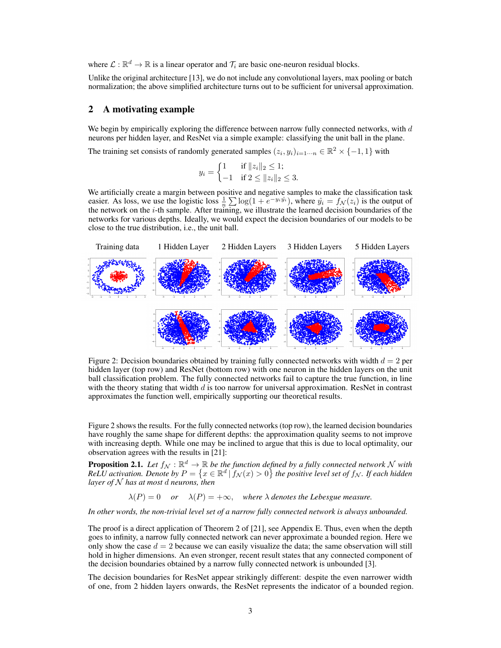where  $\mathcal{L}: \mathbb{R}^d \to \mathbb{R}$  is a linear operator and  $\mathcal{T}_i$  are basic one-neuron residual blocks.

Unlike the original architecture [13], we do not include any convolutional layers, max pooling or batch normalization; the above simplified architecture turns out to be sufficient for universal approximation.

## 2 A motivating example

We begin by empirically exploring the difference between narrow fully connected networks, with  $d$ neurons per hidden layer, and ResNet via a simple example: classifying the unit ball in the plane.

The training set consists of randomly generated samples  $(z_i, y_i)_{i=1 \cdots n} \in \mathbb{R}^2 \times \{-1, 1\}$  with

$$
y_i = \begin{cases} 1 & \text{if } ||z_i||_2 \le 1; \\ -1 & \text{if } 2 \le ||z_i||_2 \le 3. \end{cases}
$$

We artificially create a margin between positive and negative samples to make the classification task easier. As loss, we use the logistic loss  $\frac{1}{n} \sum \log(1 + e^{-y_i y_i})$ , where  $\hat{y}_i = f_{\mathcal{N}}(z_i)$  is the output of the network on the  $i$ -th sample. After training, we illustrate the learned decision boundaries of the networks for various depths. Ideally, we would expect the decision boundaries of our models to be close to the true distribution, i.e., the unit ball.



Figure 2: Decision boundaries obtained by training fully connected networks with width  $d = 2$  per hidden layer (top row) and ResNet (bottom row) with one neuron in the hidden layers on the unit ball classification problem. The fully connected networks fail to capture the true function, in line with the theory stating that width  $d$  is too narrow for universal approximation. ResNet in contrast approximates the function well, empirically supporting our theoretical results.

Figure 2 shows the results. For the fully connected networks (top row), the learned decision boundaries have roughly the same shape for different depths: the approximation quality seems to not improve with increasing depth. While one may be inclined to argue that this is due to local optimality, our observation agrees with the results in [21]:

**Proposition 2.1.** Let  $f_{\mathcal{N}} : \mathbb{R}^d \to \mathbb{R}$  be the function defined by a fully connected network N with  $ReLU$  activation. Denote by  $P = \{x \in \mathbb{R}^d \mid f_\mathcal{N}(x) > 0\}$  the positive level set of  $f_\mathcal{N}$ . If each hidden *layer of* N *has at most* d *neurons, then*

 $\lambda(P) = 0$  *or*  $\lambda(P) = +\infty$ , where  $\lambda$  denotes the Lebesgue measure.

*In other words, the non-trivial level set of a narrow fully connected network is always unbounded.*

The proof is a direct application of Theorem 2 of [21], see Appendix E. Thus, even when the depth goes to infinity, a narrow fully connected network can never approximate a bounded region. Here we only show the case  $d = 2$  because we can easily visualize the data; the same observation will still hold in higher dimensions. An even stronger, recent result states that any connected component of the decision boundaries obtained by a narrow fully connected network is unbounded [3].

The decision boundaries for ResNet appear strikingly different: despite the even narrower width of one, from 2 hidden layers onwards, the ResNet represents the indicator of a bounded region.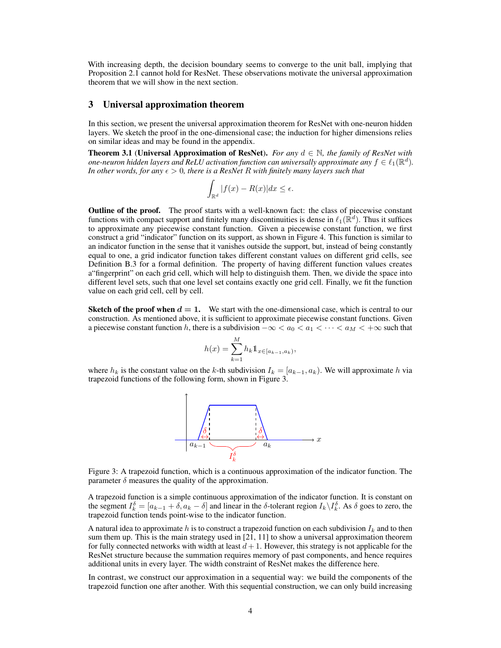With increasing depth, the decision boundary seems to converge to the unit ball, implying that Proposition 2.1 cannot hold for ResNet. These observations motivate the universal approximation theorem that we will show in the next section.

## 3 Universal approximation theorem

In this section, we present the universal approximation theorem for ResNet with one-neuron hidden layers. We sketch the proof in the one-dimensional case; the induction for higher dimensions relies on similar ideas and may be found in the appendix.

Theorem 3.1 (Universal Approximation of ResNet). *For any* d ∈ N*, the family of ResNet with* one-neuron hidden layers and ReLU activation function can universally approximate any  $f\in\ell_1(\mathbb{R}^d)$ . *In other words, for any*  $\epsilon > 0$ *, there is a ResNet R with finitely many layers such that* 

$$
\int_{\mathbb{R}^d} |f(x) - R(x)| dx \le \epsilon.
$$

**Outline of the proof.** The proof starts with a well-known fact: the class of piecewise constant functions with compact support and finitely many discontinuities is dense in  $\ell_1(\mathbb{R}^d)$ . Thus it suffices to approximate any piecewise constant function. Given a piecewise constant function, we first construct a grid "indicator" function on its support, as shown in Figure 4. This function is similar to an indicator function in the sense that it vanishes outside the support, but, instead of being constantly equal to one, a grid indicator function takes different constant values on different grid cells, see Definition B.3 for a formal definition. The property of having different function values creates a"fingerprint" on each grid cell, which will help to distinguish them. Then, we divide the space into different level sets, such that one level set contains exactly one grid cell. Finally, we fit the function value on each grid cell, cell by cell.

**Sketch of the proof when**  $d = 1$ **.** We start with the one-dimensional case, which is central to our construction. As mentioned above, it is sufficient to approximate piecewise constant functions. Given a piecewise constant function h, there is a subdivision  $-\infty < a_0 < a_1 < \cdots < a_M < +\infty$  such that

$$
h(x) = \sum_{k=1}^{M} h_k \mathbb{1}_{x \in [a_{k-1}, a_k)},
$$

where  $h_k$  is the constant value on the k-th subdivision  $I_k = [a_{k-1}, a_k)$ . We will approximate h via trapezoid functions of the following form, shown in Figure 3.



Figure 3: A trapezoid function, which is a continuous approximation of the indicator function. The parameter  $\delta$  measures the quality of the approximation.

A trapezoid function is a simple continuous approximation of the indicator function. It is constant on the segment  $I_k^{\delta} = [a_{k-1} + \delta, a_k - \delta]$  and linear in the  $\delta$ -tolerant region  $I_k \setminus I_k^{\delta}$ . As  $\delta$  goes to zero, the trapezoid function tends point-wise to the indicator function.

A natural idea to approximate h is to construct a trapezoid function on each subdivision  $I_k$  and to then sum them up. This is the main strategy used in [21, 11] to show a universal approximation theorem for fully connected networks with width at least  $d+1$ . However, this strategy is not applicable for the ResNet structure because the summation requires memory of past components, and hence requires additional units in every layer. The width constraint of ResNet makes the difference here.

In contrast, we construct our approximation in a sequential way: we build the components of the trapezoid function one after another. With this sequential construction, we can only build increasing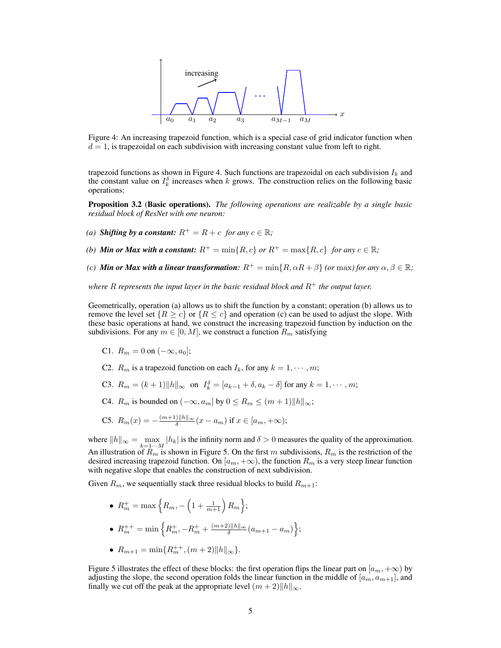

Figure 4: An increasing trapezoid function, which is a special case of grid indicator function when  $d = 1$ , is trapezoidal on each subdivision with increasing constant value from left to right.

trapezoid functions as shown in Figure 4. Such functions are trapezoidal on each subdivision  $I_k$  and the constant value on  $I_k^{\delta}$  increases when k grows. The construction relies on the following basic operations:

Proposition 3.2 (Basic operations). *The following operations are realizable by a single basic residual block of ResNet with one neuron:*

- *(a)* **Shifting by a constant:**  $R^+ = R + c$  *for any*  $c \in \mathbb{R}$ *;*
- *(b) Min or Max with a constant:*  $R^+ = \min\{R, c\}$  *or*  $R^+ = \max\{R, c\}$  *for any*  $c \in \mathbb{R}$ *;*
- *(c) Min or Max with a linear transformation:*  $R^+ = \min\{R, \alpha R + \beta\}$  *(or* max*)* for any  $\alpha, \beta \in \mathbb{R}$ ;

*where*  $R$  *represents the input layer in the basic residual block and*  $R<sup>+</sup>$  *the output layer.* 

Geometrically, operation (a) allows us to shift the function by a constant; operation (b) allows us to remove the level set  $\{R \ge c\}$  or  $\{R \le c\}$  and operation (c) can be used to adjust the slope. With these basic operations at hand, we construct the increasing trapezoid function by induction on the subdivisions. For any  $m \in [0, M]$ , we construct a function  $R_m$  satisfying

- C1.  $R_m = 0$  on  $(-\infty, a_0]$ ;
- C2.  $R_m$  is a trapezoid function on each  $I_k$ , for any  $k = 1, \dots, m$ ;
- C3.  $R_m = (k+1) ||h||_{\infty}$  on  $I_k^{\delta} = [a_{k-1} + \delta, a_k \delta]$  for any  $k = 1, \dots, m$ ;
- C4.  $R_m$  is bounded on  $(-\infty, a_m]$  by  $0 \le R_m \le (m+1) \|h\|_{\infty}$ ;

C5. 
$$
R_m(x) = -\frac{(m+1)||h||_{\infty}}{\delta}(x - a_m)
$$
 if  $x \in [a_m, +\infty)$ ;

where  $||h||_{\infty} = \max_{k=1\cdots M} |h_k|$  is the infinity norm and  $\delta > 0$  measures the quality of the approximation. An illustration of  $R_m$  is shown in Figure 5. On the first m subdivisions,  $R_m$  is the restriction of the desired increasing trapezoid function. On  $[a_m, +\infty)$ , the function  $R_m$  is a very steep linear function with negative slope that enables the construction of next subdivision.

Given  $R_m$ , we sequentially stack three residual blocks to build  $R_{m+1}$ :

- $R_m^+ = \max\left\{ R_m, -\left( 1 + \frac{1}{m+1} \right) R_m \right\};$ •  $R_m^{++} = \min \left\{ R_m^+, -R_m^{+} + \frac{(m+2)\|h\|_{\infty}}{\delta} \right\}$  $\frac{\partial \|h\|_{\infty}}{\delta}(a_{m+1}-a_m)\Big\};$
- $R_{m+1} = \min\{R_m^{++}, (m+2)\|h\|_{\infty}\}.$

Figure 5 illustrates the effect of these blocks: the first operation flips the linear part on  $[a_m, +\infty)$  by adjusting the slope, the second operation folds the linear function in the middle of  $[a_m, a_{m+1}]$ , and finally we cut off the peak at the appropriate level  $(m+2)||h||_{\infty}$ .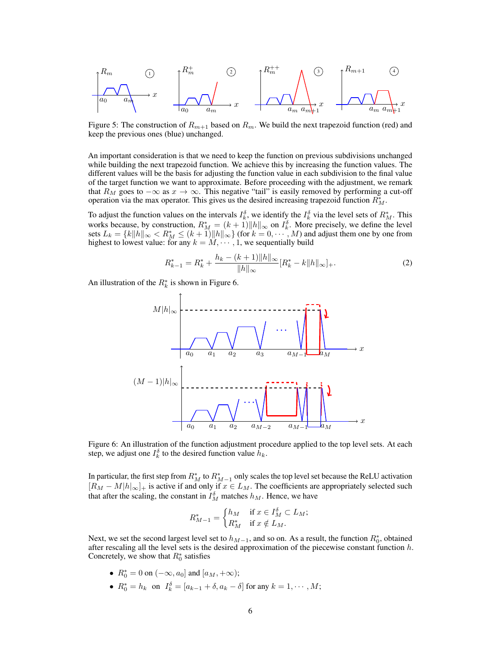$$
\begin{array}{ccc}\nR_m & \text{(1)} & & R_m^+ & \text{(2)} & & \\
\hline\na_0 & a_m & x & & \\
\hline\na_0 & a_m & a_m & x & \\
\hline\n\end{array}\n\qquad\n\begin{array}{ccc}\nR_m^{++} & \text{(3)} & \text{(3)} & \text{(4)} \\
\hline\n\end{array}\n\qquad\n\begin{array}{ccc}\nR_{m+1} & \text{(4)} & \text{(5)} \\
\hline\n\end{array}
$$

Figure 5: The construction of  $R_{m+1}$  based on  $R_m$ . We build the next trapezoid function (red) and keep the previous ones (blue) unchanged.

An important consideration is that we need to keep the function on previous subdivisions unchanged while building the next trapezoid function. We achieve this by increasing the function values. The different values will be the basis for adjusting the function value in each subdivision to the final value of the target function we want to approximate. Before proceeding with the adjustment, we remark that  $R_M$  goes to  $-\infty$  as  $x \to \infty$ . This negative "tail" is easily removed by performing a cut-off operation via the max operator. This gives us the desired increasing trapezoid function  $R_M^*$ .

To adjust the function values on the intervals  $I_k^{\delta}$ , we identify the  $I_k^{\delta}$  via the level sets of  $R_M^*$ . This works because, by construction,  $R_M^* = (k+1) ||h||_{\infty}$  on  $I_k^{\delta}$ . More precisely, we define the level sets  $L_k = \{k||h||_{\infty} < R_M^* \le (k+1)||h||_{\infty}\}$  (for  $k = 0, \cdots, M$ ) and adjust them one by one from highest to lowest value: for any  $k = M, \dots, 1$ , we sequentially build

$$
R_{k-1}^* = R_k^* + \frac{h_k - (k+1)\|h\|_{\infty}}{\|h\|_{\infty}} [R_k^* - k\|h\|_{\infty}]_+.
$$
 (2)

An illustration of the  $R_k^*$  is shown in Figure 6.



Figure 6: An illustration of the function adjustment procedure applied to the top level sets. At each step, we adjust one  $I_k^{\delta}$  to the desired function value  $\tilde{h}_k$ .

In particular, the first step from  $R_M^*$  to  $R_{M-1}^*$  only scales the top level set because the ReLU activation  $[R_M - M|h]_{\infty}]_+$  is active if and only if  $x \in L_M$ . The coefficients are appropriately selected such that after the scaling, the constant in  $I_M^{\delta}$  matches  $h_M$ . Hence, we have

$$
R_{M-1}^* = \begin{cases} h_M & \text{if } x \in I_M^{\delta} \subset L_M; \\ R_M^* & \text{if } x \notin L_M. \end{cases}
$$

Next, we set the second largest level set to  $h_{M-1}$ , and so on. As a result, the function  $R_0^*$ , obtained after rescaling all the level sets is the desired approximation of the piecewise constant function  $h$ . Concretely, we show that  $R_0^*$  satisfies

- $R_0^* = 0$  on  $(-\infty, a_0]$  and  $[a_M, +\infty);$
- $R_0^* = h_k$  on  $I_k^{\delta} = [a_{k-1} + \delta, a_k \delta]$  for any  $k = 1, \dots, M$ ;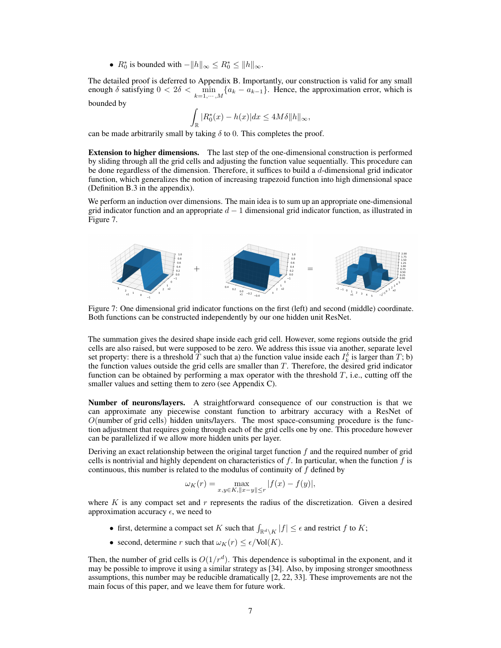•  $R_0^*$  is bounded with  $-\|h\|_{\infty} \leq R_0^* \leq \|h\|_{\infty}$ .

The detailed proof is deferred to Appendix B. Importantly, our construction is valid for any small enough  $\delta$  satisfying  $0 < 2\delta < \min_{k=1,\dots,M} \{a_k - a_{k-1}\}\$ . Hence, the approximation error, which is bounded by

$$
\int_{\mathbb{R}} |R_0^*(x) - h(x)| dx \le 4M\delta ||h||_{\infty},
$$

can be made arbitrarily small by taking  $\delta$  to 0. This completes the proof.

Extension to higher dimensions. The last step of the one-dimensional construction is performed by sliding through all the grid cells and adjusting the function value sequentially. This procedure can be done regardless of the dimension. Therefore, it suffices to build a  $d$ -dimensional grid indicator function, which generalizes the notion of increasing trapezoid function into high dimensional space (Definition B.3 in the appendix).

We perform an induction over dimensions. The main idea is to sum up an appropriate one-dimensional grid indicator function and an appropriate  $d-1$  dimensional grid indicator function, as illustrated in Figure 7.



Figure 7: One dimensional grid indicator functions on the first (left) and second (middle) coordinate. Both functions can be constructed independently by our one hidden unit ResNet.

The summation gives the desired shape inside each grid cell. However, some regions outside the grid cells are also raised, but were supposed to be zero. We address this issue via another, separate level set property: there is a threshold  $\overline{T}$  such that a) the function value inside each  $I_k^{\delta}$  is larger than  $T$ ; b) the function values outside the grid cells are smaller than  $T$ . Therefore, the desired grid indicator function can be obtained by performing a max operator with the threshold  $T$ , i.e., cutting off the smaller values and setting them to zero (see Appendix C).

Number of neurons/layers. A straightforward consequence of our construction is that we can approximate any piecewise constant function to arbitrary accuracy with a ResNet of  $O$ (number of grid cells) hidden units/layers. The most space-consuming procedure is the function adjustment that requires going through each of the grid cells one by one. This procedure however can be parallelized if we allow more hidden units per layer.

Deriving an exact relationship between the original target function  $f$  and the required number of grid cells is nontrivial and highly dependent on characteristics of  $f$ . In particular, when the function  $f$  is continuous, this number is related to the modulus of continuity of  $f$  defined by

$$
\omega_K(r) = \max_{x, y \in K, ||x - y|| \le r} |f(x) - f(y)|,
$$

where K is any compact set and  $r$  represents the radius of the discretization. Given a desired approximation accuracy  $\epsilon$ , we need to

- first, determine a compact set K such that  $\int_{\mathbb{R}^d \setminus K} |f| \leq \epsilon$  and restrict f to K;
- second, determine r such that  $\omega_K(r) \leq \epsilon/\text{Vol}(K)$ .

Then, the number of grid cells is  $O(1/r^d)$ . This dependence is suboptimal in the exponent, and it may be possible to improve it using a similar strategy as [34]. Also, by imposing stronger smoothness assumptions, this number may be reducible dramatically [2, 22, 33]. These improvements are not the main focus of this paper, and we leave them for future work.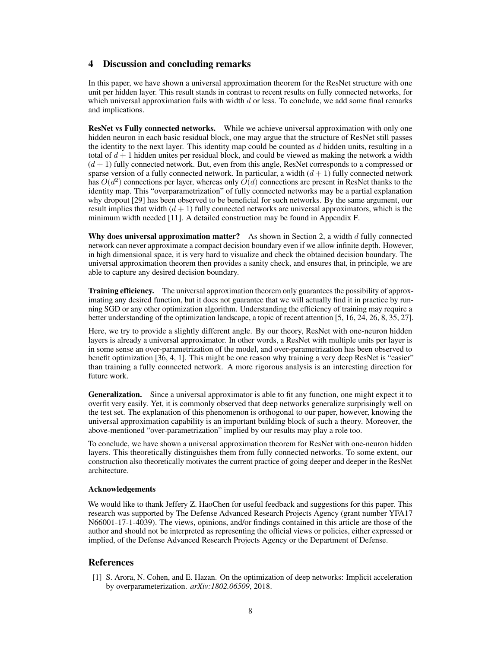## 4 Discussion and concluding remarks

In this paper, we have shown a universal approximation theorem for the ResNet structure with one unit per hidden layer. This result stands in contrast to recent results on fully connected networks, for which universal approximation fails with width  $d$  or less. To conclude, we add some final remarks and implications.

ResNet vs Fully connected networks. While we achieve universal approximation with only one hidden neuron in each basic residual block, one may argue that the structure of ResNet still passes the identity to the next layer. This identity map could be counted as  $d$  hidden units, resulting in a total of  $d+1$  hidden unites per residual block, and could be viewed as making the network a width  $(d + 1)$  fully connected network. But, even from this angle, ResNet corresponds to a compressed or sparse version of a fully connected network. In particular, a width  $(d + 1)$  fully connected network has  $O(d^2)$  connections per layer, whereas only  $O(d)$  connections are present in ResNet thanks to the identity map. This "overparametrization" of fully connected networks may be a partial explanation why dropout [29] has been observed to be beneficial for such networks. By the same argument, our result implies that width  $(d+1)$  fully connected networks are universal approximators, which is the minimum width needed [11]. A detailed construction may be found in Appendix F.

Why does universal approximation matter? As shown in Section 2, a width  $d$  fully connected network can never approximate a compact decision boundary even if we allow infinite depth. However, in high dimensional space, it is very hard to visualize and check the obtained decision boundary. The universal approximation theorem then provides a sanity check, and ensures that, in principle, we are able to capture any desired decision boundary.

Training efficiency. The universal approximation theorem only guarantees the possibility of approximating any desired function, but it does not guarantee that we will actually find it in practice by running SGD or any other optimization algorithm. Understanding the efficiency of training may require a better understanding of the optimization landscape, a topic of recent attention [5, 16, 24, 26, 8, 35, 27].

Here, we try to provide a slightly different angle. By our theory, ResNet with one-neuron hidden layers is already a universal approximator. In other words, a ResNet with multiple units per layer is in some sense an over-parametrization of the model, and over-parametrization has been observed to benefit optimization [36, 4, 1]. This might be one reason why training a very deep ResNet is "easier" than training a fully connected network. A more rigorous analysis is an interesting direction for future work.

Generalization. Since a universal approximator is able to fit any function, one might expect it to overfit very easily. Yet, it is commonly observed that deep networks generalize surprisingly well on the test set. The explanation of this phenomenon is orthogonal to our paper, however, knowing the universal approximation capability is an important building block of such a theory. Moreover, the above-mentioned "over-parametrization" implied by our results may play a role too.

To conclude, we have shown a universal approximation theorem for ResNet with one-neuron hidden layers. This theoretically distinguishes them from fully connected networks. To some extent, our construction also theoretically motivates the current practice of going deeper and deeper in the ResNet architecture.

## Acknowledgements

We would like to thank Jeffery Z. HaoChen for useful feedback and suggestions for this paper. This research was supported by The Defense Advanced Research Projects Agency (grant number YFA17 N66001-17-1-4039). The views, opinions, and/or findings contained in this article are those of the author and should not be interpreted as representing the official views or policies, either expressed or implied, of the Defense Advanced Research Projects Agency or the Department of Defense.

# **References**

[1] S. Arora, N. Cohen, and E. Hazan. On the optimization of deep networks: Implicit acceleration by overparameterization. *arXiv:1802.06509*, 2018.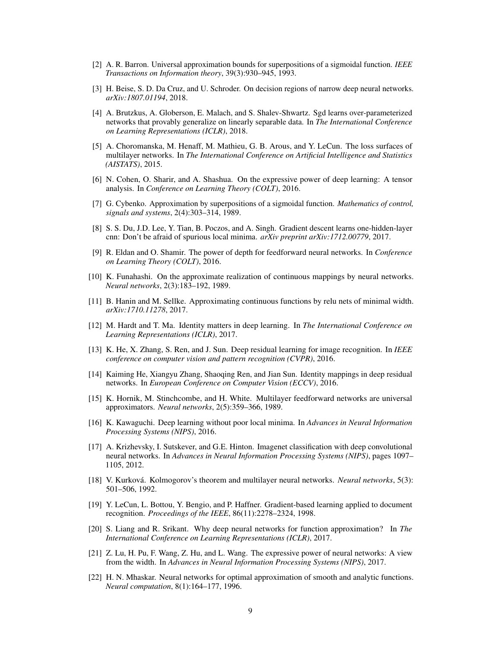- [2] A. R. Barron. Universal approximation bounds for superpositions of a sigmoidal function. *IEEE Transactions on Information theory*, 39(3):930–945, 1993.
- [3] H. Beise, S. D. Da Cruz, and U. Schroder. On decision regions of narrow deep neural networks. *arXiv:1807.01194*, 2018.
- [4] A. Brutzkus, A. Globerson, E. Malach, and S. Shalev-Shwartz. Sgd learns over-parameterized networks that provably generalize on linearly separable data. In *The International Conference on Learning Representations (ICLR)*, 2018.
- [5] A. Choromanska, M. Henaff, M. Mathieu, G. B. Arous, and Y. LeCun. The loss surfaces of multilayer networks. In *The International Conference on Artificial Intelligence and Statistics (AISTATS)*, 2015.
- [6] N. Cohen, O. Sharir, and A. Shashua. On the expressive power of deep learning: A tensor analysis. In *Conference on Learning Theory (COLT)*, 2016.
- [7] G. Cybenko. Approximation by superpositions of a sigmoidal function. *Mathematics of control, signals and systems*, 2(4):303–314, 1989.
- [8] S. S. Du, J.D. Lee, Y. Tian, B. Poczos, and A. Singh. Gradient descent learns one-hidden-layer cnn: Don't be afraid of spurious local minima. *arXiv preprint arXiv:1712.00779*, 2017.
- [9] R. Eldan and O. Shamir. The power of depth for feedforward neural networks. In *Conference on Learning Theory (COLT)*, 2016.
- [10] K. Funahashi. On the approximate realization of continuous mappings by neural networks. *Neural networks*, 2(3):183–192, 1989.
- [11] B. Hanin and M. Sellke. Approximating continuous functions by relu nets of minimal width. *arXiv:1710.11278*, 2017.
- [12] M. Hardt and T. Ma. Identity matters in deep learning. In *The International Conference on Learning Representations (ICLR)*, 2017.
- [13] K. He, X. Zhang, S. Ren, and J. Sun. Deep residual learning for image recognition. In *IEEE conference on computer vision and pattern recognition (CVPR)*, 2016.
- [14] Kaiming He, Xiangyu Zhang, Shaoqing Ren, and Jian Sun. Identity mappings in deep residual networks. In *European Conference on Computer Vision (ECCV)*, 2016.
- [15] K. Hornik, M. Stinchcombe, and H. White. Multilayer feedforward networks are universal approximators. *Neural networks*, 2(5):359–366, 1989.
- [16] K. Kawaguchi. Deep learning without poor local minima. In *Advances in Neural Information Processing Systems (NIPS)*, 2016.
- [17] A. Krizhevsky, I. Sutskever, and G.E. Hinton. Imagenet classification with deep convolutional neural networks. In *Advances in Neural Information Processing Systems (NIPS)*, pages 1097– 1105, 2012.
- [18] V. Kurková. Kolmogorov's theorem and multilayer neural networks. *Neural networks*, 5(3): 501–506, 1992.
- [19] Y. LeCun, L. Bottou, Y. Bengio, and P. Haffner. Gradient-based learning applied to document recognition. *Proceedings of the IEEE*, 86(11):2278–2324, 1998.
- [20] S. Liang and R. Srikant. Why deep neural networks for function approximation? In *The International Conference on Learning Representations (ICLR)*, 2017.
- [21] Z. Lu, H. Pu, F. Wang, Z. Hu, and L. Wang. The expressive power of neural networks: A view from the width. In *Advances in Neural Information Processing Systems (NIPS)*, 2017.
- [22] H. N. Mhaskar. Neural networks for optimal approximation of smooth and analytic functions. *Neural computation*, 8(1):164–177, 1996.